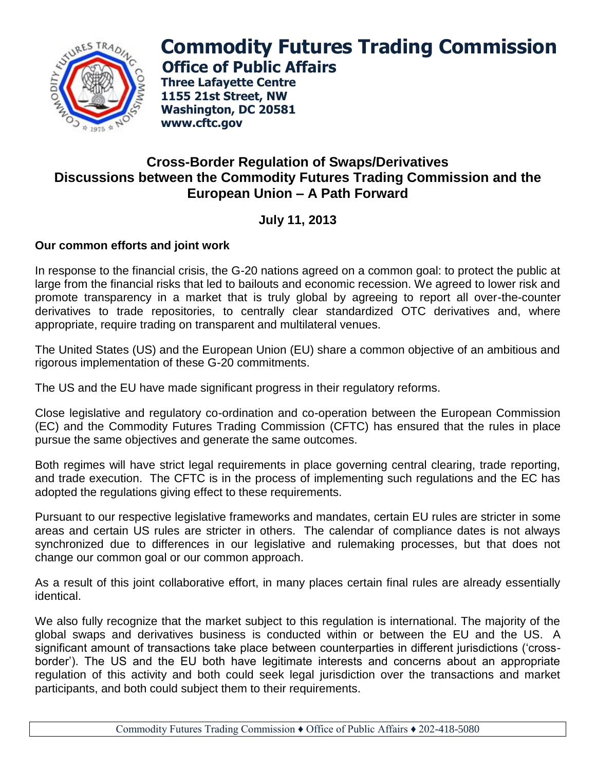

# **Commodity Futures Trading Commission Office of Public Affairs**

**Three Lafayette Centre 1155 21st Street, NW Washington, DC 20581 www.cftc.gov**

# **Cross-Border Regulation of Swaps/Derivatives Discussions between the Commodity Futures Trading Commission and the European Union – A Path Forward**

# **July 11, 2013**

## **Our common efforts and joint work**

In response to the financial crisis, the G-20 nations agreed on a common goal: to protect the public at large from the financial risks that led to bailouts and economic recession. We agreed to lower risk and promote transparency in a market that is truly global by agreeing to report all over-the-counter derivatives to trade repositories, to centrally clear standardized OTC derivatives and, where appropriate, require trading on transparent and multilateral venues.

The United States (US) and the European Union (EU) share a common objective of an ambitious and rigorous implementation of these G-20 commitments.

The US and the EU have made significant progress in their regulatory reforms.

Close legislative and regulatory co-ordination and co-operation between the European Commission (EC) and the Commodity Futures Trading Commission (CFTC) has ensured that the rules in place pursue the same objectives and generate the same outcomes.

Both regimes will have strict legal requirements in place governing central clearing, trade reporting, and trade execution. The CFTC is in the process of implementing such regulations and the EC has adopted the regulations giving effect to these requirements.

Pursuant to our respective legislative frameworks and mandates, certain EU rules are stricter in some areas and certain US rules are stricter in others. The calendar of compliance dates is not always synchronized due to differences in our legislative and rulemaking processes, but that does not change our common goal or our common approach.

As a result of this joint collaborative effort, in many places certain final rules are already essentially identical.

We also fully recognize that the market subject to this regulation is international. The majority of the global swaps and derivatives business is conducted within or between the EU and the US. A significant amount of transactions take place between counterparties in different jurisdictions ('crossborder'). The US and the EU both have legitimate interests and concerns about an appropriate regulation of this activity and both could seek legal jurisdiction over the transactions and market participants, and both could subject them to their requirements.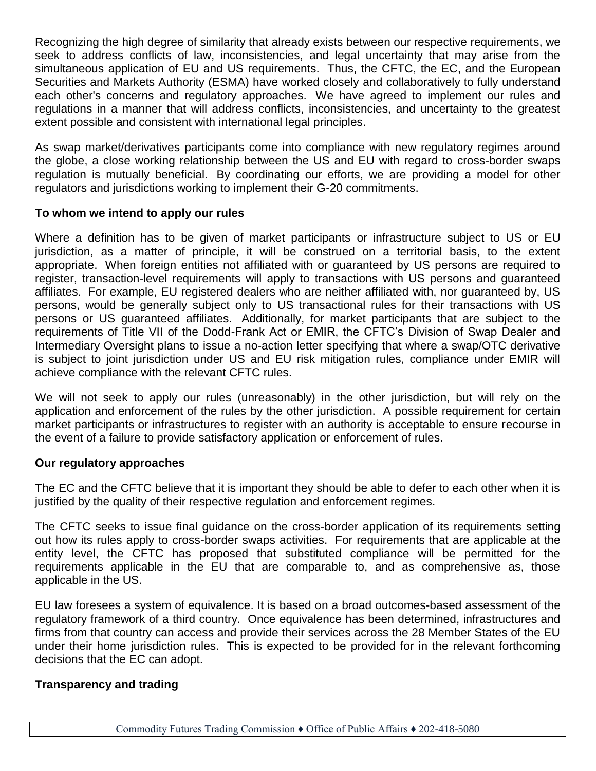Recognizing the high degree of similarity that already exists between our respective requirements, we seek to address conflicts of law, inconsistencies, and legal uncertainty that may arise from the simultaneous application of EU and US requirements. Thus, the CFTC, the EC, and the European Securities and Markets Authority (ESMA) have worked closely and collaboratively to fully understand each other's concerns and regulatory approaches. We have agreed to implement our rules and regulations in a manner that will address conflicts, inconsistencies, and uncertainty to the greatest extent possible and consistent with international legal principles.

As swap market/derivatives participants come into compliance with new regulatory regimes around the globe, a close working relationship between the US and EU with regard to cross-border swaps regulation is mutually beneficial. By coordinating our efforts, we are providing a model for other regulators and jurisdictions working to implement their G-20 commitments.

## **To whom we intend to apply our rules**

Where a definition has to be given of market participants or infrastructure subject to US or EU jurisdiction, as a matter of principle, it will be construed on a territorial basis, to the extent appropriate. When foreign entities not affiliated with or guaranteed by US persons are required to register, transaction-level requirements will apply to transactions with US persons and guaranteed affiliates. For example, EU registered dealers who are neither affiliated with, nor guaranteed by, US persons, would be generally subject only to US transactional rules for their transactions with US persons or US guaranteed affiliates. Additionally, for market participants that are subject to the requirements of Title VII of the Dodd-Frank Act or EMIR, the CFTC's Division of Swap Dealer and Intermediary Oversight plans to issue a no-action letter specifying that where a swap/OTC derivative is subject to joint jurisdiction under US and EU risk mitigation rules, compliance under EMIR will achieve compliance with the relevant CFTC rules.

We will not seek to apply our rules (unreasonably) in the other jurisdiction, but will rely on the application and enforcement of the rules by the other jurisdiction. A possible requirement for certain market participants or infrastructures to register with an authority is acceptable to ensure recourse in the event of a failure to provide satisfactory application or enforcement of rules.

#### **Our regulatory approaches**

The EC and the CFTC believe that it is important they should be able to defer to each other when it is justified by the quality of their respective regulation and enforcement regimes.

The CFTC seeks to issue final guidance on the cross-border application of its requirements setting out how its rules apply to cross-border swaps activities. For requirements that are applicable at the entity level, the CFTC has proposed that substituted compliance will be permitted for the requirements applicable in the EU that are comparable to, and as comprehensive as, those applicable in the US.

EU law foresees a system of equivalence. It is based on a broad outcomes-based assessment of the regulatory framework of a third country. Once equivalence has been determined, infrastructures and firms from that country can access and provide their services across the 28 Member States of the EU under their home jurisdiction rules. This is expected to be provided for in the relevant forthcoming decisions that the EC can adopt.

## **Transparency and trading**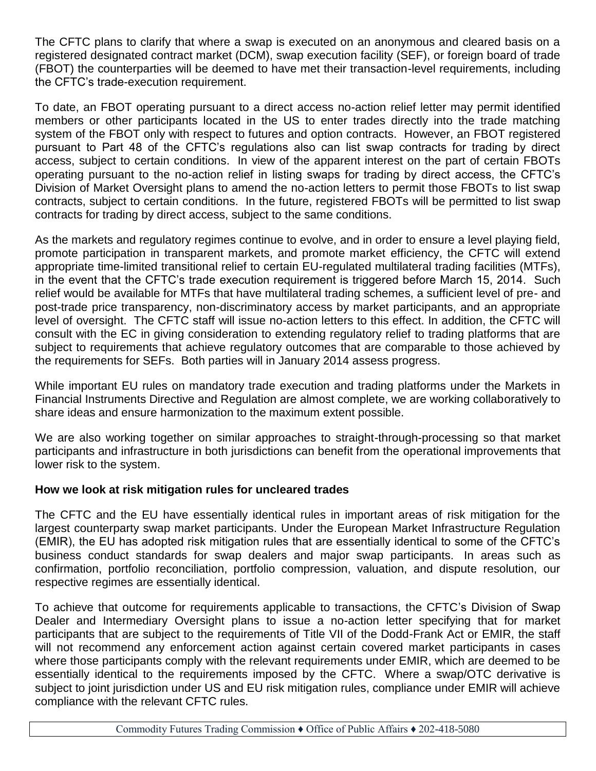The CFTC plans to clarify that where a swap is executed on an anonymous and cleared basis on a registered designated contract market (DCM), swap execution facility (SEF), or foreign board of trade (FBOT) the counterparties will be deemed to have met their transaction-level requirements, including the CFTC's trade-execution requirement.

To date, an FBOT operating pursuant to a direct access no-action relief letter may permit identified members or other participants located in the US to enter trades directly into the trade matching system of the FBOT only with respect to futures and option contracts. However, an FBOT registered pursuant to Part 48 of the CFTC's regulations also can list swap contracts for trading by direct access, subject to certain conditions. In view of the apparent interest on the part of certain FBOTs operating pursuant to the no-action relief in listing swaps for trading by direct access, the CFTC's Division of Market Oversight plans to amend the no-action letters to permit those FBOTs to list swap contracts, subject to certain conditions. In the future, registered FBOTs will be permitted to list swap contracts for trading by direct access, subject to the same conditions.

As the markets and regulatory regimes continue to evolve, and in order to ensure a level playing field, promote participation in transparent markets, and promote market efficiency, the CFTC will extend appropriate time-limited transitional relief to certain EU-regulated multilateral trading facilities (MTFs), in the event that the CFTC's trade execution requirement is triggered before March 15, 2014. Such relief would be available for MTFs that have multilateral trading schemes, a sufficient level of pre- and post-trade price transparency, non-discriminatory access by market participants, and an appropriate level of oversight. The CFTC staff will issue no-action letters to this effect. In addition, the CFTC will consult with the EC in giving consideration to extending regulatory relief to trading platforms that are subject to requirements that achieve regulatory outcomes that are comparable to those achieved by the requirements for SEFs. Both parties will in January 2014 assess progress.

While important EU rules on mandatory trade execution and trading platforms under the Markets in Financial Instruments Directive and Regulation are almost complete, we are working collaboratively to share ideas and ensure harmonization to the maximum extent possible.

We are also working together on similar approaches to straight-through-processing so that market participants and infrastructure in both jurisdictions can benefit from the operational improvements that lower risk to the system.

## **How we look at risk mitigation rules for uncleared trades**

The CFTC and the EU have essentially identical rules in important areas of risk mitigation for the largest counterparty swap market participants. Under the European Market Infrastructure Regulation (EMIR), the EU has adopted risk mitigation rules that are essentially identical to some of the CFTC's business conduct standards for swap dealers and major swap participants. In areas such as confirmation, portfolio reconciliation, portfolio compression, valuation, and dispute resolution, our respective regimes are essentially identical.

To achieve that outcome for requirements applicable to transactions, the CFTC's Division of Swap Dealer and Intermediary Oversight plans to issue a no-action letter specifying that for market participants that are subject to the requirements of Title VII of the Dodd-Frank Act or EMIR, the staff will not recommend any enforcement action against certain covered market participants in cases where those participants comply with the relevant requirements under EMIR, which are deemed to be essentially identical to the requirements imposed by the CFTC. Where a swap/OTC derivative is subject to joint jurisdiction under US and EU risk mitigation rules, compliance under EMIR will achieve compliance with the relevant CFTC rules.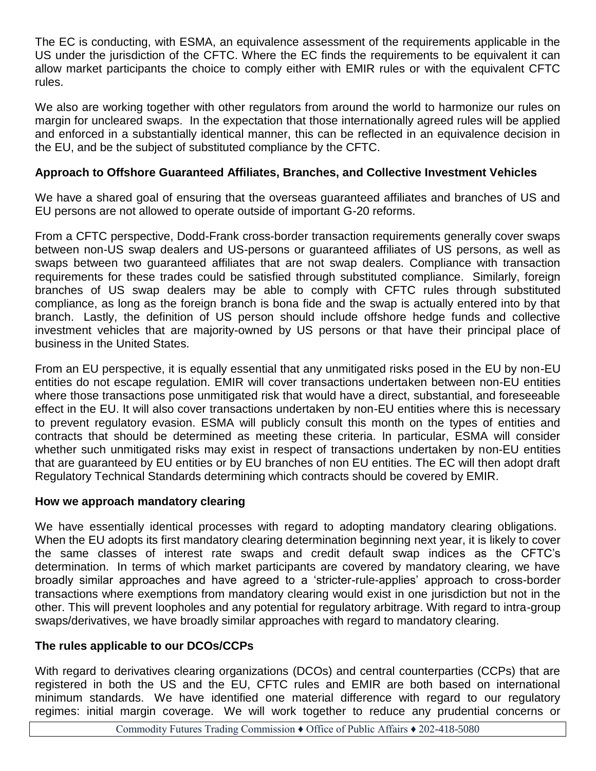The EC is conducting, with ESMA, an equivalence assessment of the requirements applicable in the US under the jurisdiction of the CFTC. Where the EC finds the requirements to be equivalent it can allow market participants the choice to comply either with EMIR rules or with the equivalent CFTC rules.

We also are working together with other regulators from around the world to harmonize our rules on margin for uncleared swaps. In the expectation that those internationally agreed rules will be applied and enforced in a substantially identical manner, this can be reflected in an equivalence decision in the EU, and be the subject of substituted compliance by the CFTC.

# **Approach to Offshore Guaranteed Affiliates, Branches, and Collective Investment Vehicles**

We have a shared goal of ensuring that the overseas guaranteed affiliates and branches of US and EU persons are not allowed to operate outside of important G-20 reforms.

From a CFTC perspective, Dodd-Frank cross-border transaction requirements generally cover swaps between non-US swap dealers and US-persons or guaranteed affiliates of US persons, as well as swaps between two guaranteed affiliates that are not swap dealers. Compliance with transaction requirements for these trades could be satisfied through substituted compliance. Similarly, foreign branches of US swap dealers may be able to comply with CFTC rules through substituted compliance, as long as the foreign branch is bona fide and the swap is actually entered into by that branch. Lastly, the definition of US person should include offshore hedge funds and collective investment vehicles that are majority-owned by US persons or that have their principal place of business in the United States.

From an EU perspective, it is equally essential that any unmitigated risks posed in the EU by non-EU entities do not escape regulation. EMIR will cover transactions undertaken between non-EU entities where those transactions pose unmitigated risk that would have a direct, substantial, and foreseeable effect in the EU. It will also cover transactions undertaken by non-EU entities where this is necessary to prevent regulatory evasion. ESMA will publicly consult this month on the types of entities and contracts that should be determined as meeting these criteria. In particular, ESMA will consider whether such unmitigated risks may exist in respect of transactions undertaken by non-EU entities that are guaranteed by EU entities or by EU branches of non EU entities. The EC will then adopt draft Regulatory Technical Standards determining which contracts should be covered by EMIR.

## **How we approach mandatory clearing**

We have essentially identical processes with regard to adopting mandatory clearing obligations. When the EU adopts its first mandatory clearing determination beginning next year, it is likely to cover the same classes of interest rate swaps and credit default swap indices as the CFTC's determination. In terms of which market participants are covered by mandatory clearing, we have broadly similar approaches and have agreed to a 'stricter-rule-applies' approach to cross-border transactions where exemptions from mandatory clearing would exist in one jurisdiction but not in the other. This will prevent loopholes and any potential for regulatory arbitrage. With regard to intra-group swaps/derivatives, we have broadly similar approaches with regard to mandatory clearing.

## **The rules applicable to our DCOs/CCPs**

With regard to derivatives clearing organizations (DCOs) and central counterparties (CCPs) that are registered in both the US and the EU, CFTC rules and EMIR are both based on international minimum standards. We have identified one material difference with regard to our regulatory regimes: initial margin coverage. We will work together to reduce any prudential concerns or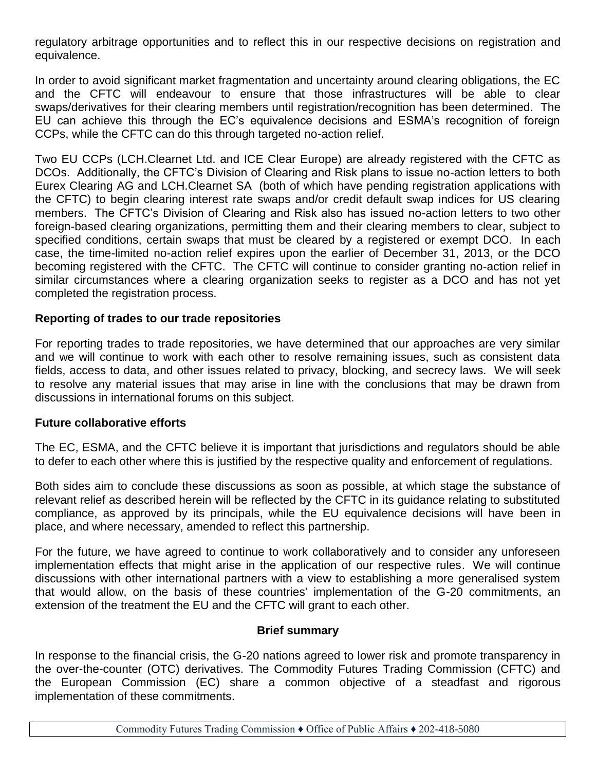regulatory arbitrage opportunities and to reflect this in our respective decisions on registration and equivalence.

In order to avoid significant market fragmentation and uncertainty around clearing obligations, the EC and the CFTC will endeavour to ensure that those infrastructures will be able to clear swaps/derivatives for their clearing members until registration/recognition has been determined. The EU can achieve this through the EC's equivalence decisions and ESMA's recognition of foreign CCPs, while the CFTC can do this through targeted no-action relief.

Two EU CCPs (LCH.Clearnet Ltd. and ICE Clear Europe) are already registered with the CFTC as DCOs. Additionally, the CFTC's Division of Clearing and Risk plans to issue no-action letters to both Eurex Clearing AG and LCH.Clearnet SA (both of which have pending registration applications with the CFTC) to begin clearing interest rate swaps and/or credit default swap indices for US clearing members. The CFTC's Division of Clearing and Risk also has issued no-action letters to two other foreign-based clearing organizations, permitting them and their clearing members to clear, subject to specified conditions, certain swaps that must be cleared by a registered or exempt DCO. In each case, the time-limited no-action relief expires upon the earlier of December 31, 2013, or the DCO becoming registered with the CFTC. The CFTC will continue to consider granting no-action relief in similar circumstances where a clearing organization seeks to register as a DCO and has not yet completed the registration process.

#### **Reporting of trades to our trade repositories**

For reporting trades to trade repositories, we have determined that our approaches are very similar and we will continue to work with each other to resolve remaining issues, such as consistent data fields, access to data, and other issues related to privacy, blocking, and secrecy laws. We will seek to resolve any material issues that may arise in line with the conclusions that may be drawn from discussions in international forums on this subject.

#### **Future collaborative efforts**

The EC, ESMA, and the CFTC believe it is important that jurisdictions and regulators should be able to defer to each other where this is justified by the respective quality and enforcement of regulations.

Both sides aim to conclude these discussions as soon as possible, at which stage the substance of relevant relief as described herein will be reflected by the CFTC in its guidance relating to substituted compliance, as approved by its principals, while the EU equivalence decisions will have been in place, and where necessary, amended to reflect this partnership.

For the future, we have agreed to continue to work collaboratively and to consider any unforeseen implementation effects that might arise in the application of our respective rules. We will continue discussions with other international partners with a view to establishing a more generalised system that would allow, on the basis of these countries' implementation of the G-20 commitments, an extension of the treatment the EU and the CFTC will grant to each other.

#### **Brief summary**

In response to the financial crisis, the G-20 nations agreed to lower risk and promote transparency in the over-the-counter (OTC) derivatives. The Commodity Futures Trading Commission (CFTC) and the European Commission (EC) share a common objective of a steadfast and rigorous implementation of these commitments.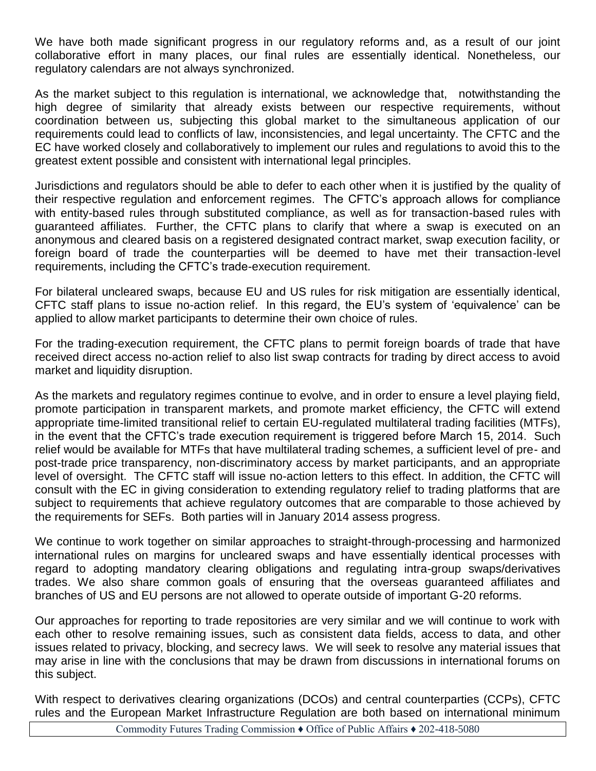We have both made significant progress in our regulatory reforms and, as a result of our joint collaborative effort in many places, our final rules are essentially identical. Nonetheless, our regulatory calendars are not always synchronized.

As the market subject to this regulation is international, we acknowledge that, notwithstanding the high degree of similarity that already exists between our respective requirements, without coordination between us, subjecting this global market to the simultaneous application of our requirements could lead to conflicts of law, inconsistencies, and legal uncertainty. The CFTC and the EC have worked closely and collaboratively to implement our rules and regulations to avoid this to the greatest extent possible and consistent with international legal principles.

Jurisdictions and regulators should be able to defer to each other when it is justified by the quality of their respective regulation and enforcement regimes. The CFTC's approach allows for compliance with entity-based rules through substituted compliance, as well as for transaction-based rules with guaranteed affiliates. Further, the CFTC plans to clarify that where a swap is executed on an anonymous and cleared basis on a registered designated contract market, swap execution facility, or foreign board of trade the counterparties will be deemed to have met their transaction-level requirements, including the CFTC's trade-execution requirement.

For bilateral uncleared swaps, because EU and US rules for risk mitigation are essentially identical, CFTC staff plans to issue no-action relief. In this regard, the EU's system of 'equivalence' can be applied to allow market participants to determine their own choice of rules.

For the trading-execution requirement, the CFTC plans to permit foreign boards of trade that have received direct access no-action relief to also list swap contracts for trading by direct access to avoid market and liquidity disruption.

As the markets and regulatory regimes continue to evolve, and in order to ensure a level playing field, promote participation in transparent markets, and promote market efficiency, the CFTC will extend appropriate time-limited transitional relief to certain EU-regulated multilateral trading facilities (MTFs), in the event that the CFTC's trade execution requirement is triggered before March 15, 2014. Such relief would be available for MTFs that have multilateral trading schemes, a sufficient level of pre- and post-trade price transparency, non-discriminatory access by market participants, and an appropriate level of oversight. The CFTC staff will issue no-action letters to this effect. In addition, the CFTC will consult with the EC in giving consideration to extending regulatory relief to trading platforms that are subject to requirements that achieve regulatory outcomes that are comparable to those achieved by the requirements for SEFs. Both parties will in January 2014 assess progress.

We continue to work together on similar approaches to straight-through-processing and harmonized international rules on margins for uncleared swaps and have essentially identical processes with regard to adopting mandatory clearing obligations and regulating intra-group swaps/derivatives trades. We also share common goals of ensuring that the overseas guaranteed affiliates and branches of US and EU persons are not allowed to operate outside of important G-20 reforms.

Our approaches for reporting to trade repositories are very similar and we will continue to work with each other to resolve remaining issues, such as consistent data fields, access to data, and other issues related to privacy, blocking, and secrecy laws. We will seek to resolve any material issues that may arise in line with the conclusions that may be drawn from discussions in international forums on this subject.

With respect to derivatives clearing organizations (DCOs) and central counterparties (CCPs), CFTC rules and the European Market Infrastructure Regulation are both based on international minimum